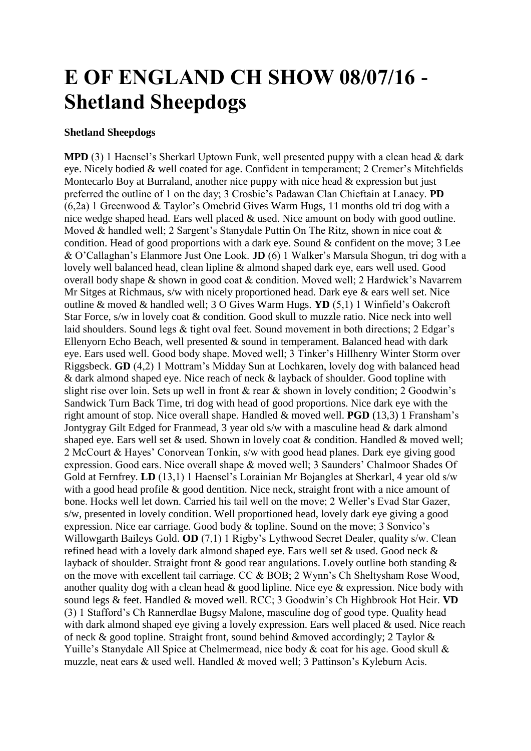## **E OF ENGLAND CH SHOW 08/07/16 - Shetland Sheepdogs**

## **Shetland Sheepdogs**

**MPD** (3) 1 Haensel's Sherkarl Uptown Funk, well presented puppy with a clean head & dark eye. Nicely bodied & well coated for age. Confident in temperament; 2 Cremer's Mitchfields Montecarlo Boy at Burraland, another nice puppy with nice head & expression but just preferred the outline of 1 on the day; 3 Crosbie's Padawan Clan Chieftain at Lanacy. **PD**  (6,2a) 1 Greenwood & Taylor's Omebrid Gives Warm Hugs, 11 months old tri dog with a nice wedge shaped head. Ears well placed & used. Nice amount on body with good outline. Moved & handled well; 2 Sargent's Stanydale Puttin On The Ritz, shown in nice coat & condition. Head of good proportions with a dark eye. Sound & confident on the move; 3 Lee & O'Callaghan's Elanmore Just One Look. **JD** (6) 1 Walker's Marsula Shogun, tri dog with a lovely well balanced head, clean lipline & almond shaped dark eye, ears well used. Good overall body shape & shown in good coat & condition. Moved well; 2 Hardwick's Navarrem Mr Sitges at Richmaus, s/w with nicely proportioned head. Dark eye & ears well set. Nice outline & moved & handled well; 3 O Gives Warm Hugs. **YD** (5,1) 1 Winfield's Oakcroft Star Force, s/w in lovely coat & condition. Good skull to muzzle ratio. Nice neck into well laid shoulders. Sound legs & tight oval feet. Sound movement in both directions; 2 Edgar's Ellenyorn Echo Beach, well presented & sound in temperament. Balanced head with dark eye. Ears used well. Good body shape. Moved well; 3 Tinker's Hillhenry Winter Storm over Riggsbeck. **GD** (4,2) 1 Mottram's Midday Sun at Lochkaren, lovely dog with balanced head & dark almond shaped eye. Nice reach of neck & layback of shoulder. Good topline with slight rise over loin. Sets up well in front  $\&$  rear  $\&$  shown in lovely condition; 2 Goodwin's Sandwick Turn Back Time, tri dog with head of good proportions. Nice dark eye with the right amount of stop. Nice overall shape. Handled & moved well. **PGD** (13,3) 1 Fransham's Jontygray Gilt Edged for Franmead, 3 year old s/w with a masculine head & dark almond shaped eye. Ears well set & used. Shown in lovely coat & condition. Handled & moved well; 2 McCourt & Hayes' Conorvean Tonkin, s/w with good head planes. Dark eye giving good expression. Good ears. Nice overall shape & moved well; 3 Saunders' Chalmoor Shades Of Gold at Fernfrey. **LD** (13,1) 1 Haensel's Lorainian Mr Bojangles at Sherkarl, 4 year old s/w with a good head profile & good dentition. Nice neck, straight front with a nice amount of bone. Hocks well let down. Carried his tail well on the move; 2 Weller's Evad Star Gazer, s/w, presented in lovely condition. Well proportioned head, lovely dark eye giving a good expression. Nice ear carriage. Good body & topline. Sound on the move; 3 Sonvico's Willowgarth Baileys Gold. **OD** (7,1) 1 Rigby's Lythwood Secret Dealer, quality s/w. Clean refined head with a lovely dark almond shaped eye. Ears well set & used. Good neck & layback of shoulder. Straight front & good rear angulations. Lovely outline both standing & on the move with excellent tail carriage. CC & BOB; 2 Wynn's Ch Sheltysham Rose Wood, another quality dog with a clean head  $\&$  good lipline. Nice eye  $\&$  expression. Nice body with sound legs & feet. Handled & moved well. RCC; 3 Goodwin's Ch Highbrook Hot Heir. **VD**  (3) 1 Stafford's Ch Rannerdlae Bugsy Malone, masculine dog of good type. Quality head with dark almond shaped eye giving a lovely expression. Ears well placed & used. Nice reach of neck & good topline. Straight front, sound behind &moved accordingly; 2 Taylor & Yuille's Stanydale All Spice at Chelmermead, nice body & coat for his age. Good skull & muzzle, neat ears & used well. Handled & moved well; 3 Pattinson's Kyleburn Acis.